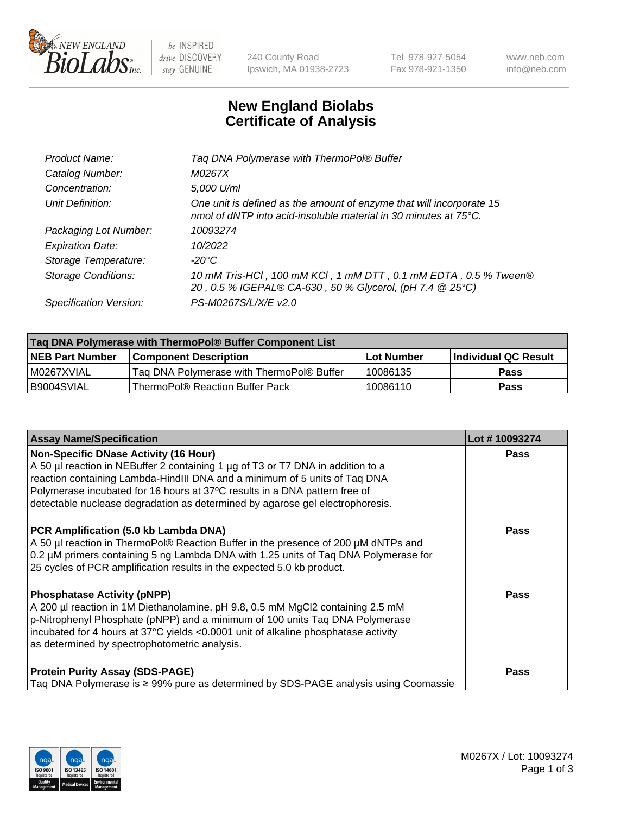

be INSPIRED drive DISCOVERY stay GENUINE

240 County Road Ipswich, MA 01938-2723 Tel 978-927-5054 Fax 978-921-1350 www.neb.com info@neb.com

## **New England Biolabs Certificate of Analysis**

| Tag DNA Polymerase with ThermoPol® Buffer                                                                                                |
|------------------------------------------------------------------------------------------------------------------------------------------|
| M0267X                                                                                                                                   |
| 5,000 U/ml                                                                                                                               |
| One unit is defined as the amount of enzyme that will incorporate 15<br>nmol of dNTP into acid-insoluble material in 30 minutes at 75°C. |
| 10093274                                                                                                                                 |
| 10/2022                                                                                                                                  |
| $-20^{\circ}$ C                                                                                                                          |
| 10 mM Tris-HCl, 100 mM KCl, 1 mM DTT, 0.1 mM EDTA, 0.5 % Tween®<br>20, 0.5 % IGEPAL® CA-630, 50 % Glycerol, (pH 7.4 @ 25°C)              |
| PS-M0267S/L/X/E v2.0                                                                                                                     |
|                                                                                                                                          |

| Tag DNA Polymerase with ThermoPol® Buffer Component List |                                           |                   |                      |  |
|----------------------------------------------------------|-------------------------------------------|-------------------|----------------------|--|
| <b>INEB Part Number</b>                                  | <b>Component Description</b>              | <b>Lot Number</b> | Individual QC Result |  |
| I M0267XVIAL                                             | Tag DNA Polymerase with ThermoPol® Buffer | 10086135          | Pass                 |  |
| B9004SVIAL                                               | ThermoPol® Reaction Buffer Pack_          | 10086110          | <b>Pass</b>          |  |

| <b>Assay Name/Specification</b>                                                                                                                                                                                                                                                                                                                                              | Lot #10093274 |
|------------------------------------------------------------------------------------------------------------------------------------------------------------------------------------------------------------------------------------------------------------------------------------------------------------------------------------------------------------------------------|---------------|
| <b>Non-Specific DNase Activity (16 Hour)</b><br>A 50 µl reaction in NEBuffer 2 containing 1 µg of T3 or T7 DNA in addition to a<br>reaction containing Lambda-HindIII DNA and a minimum of 5 units of Taq DNA<br>Polymerase incubated for 16 hours at 37°C results in a DNA pattern free of<br>detectable nuclease degradation as determined by agarose gel electrophoresis. | <b>Pass</b>   |
| PCR Amplification (5.0 kb Lambda DNA)<br>A 50 µl reaction in ThermoPol® Reaction Buffer in the presence of 200 µM dNTPs and<br>0.2 µM primers containing 5 ng Lambda DNA with 1.25 units of Taq DNA Polymerase for<br>25 cycles of PCR amplification results in the expected 5.0 kb product.                                                                                 | Pass          |
| <b>Phosphatase Activity (pNPP)</b><br>A 200 µl reaction in 1M Diethanolamine, pH 9.8, 0.5 mM MgCl2 containing 2.5 mM<br>p-Nitrophenyl Phosphate (pNPP) and a minimum of 100 units Taq DNA Polymerase<br>incubated for 4 hours at 37°C yields <0.0001 unit of alkaline phosphatase activity<br>as determined by spectrophotometric analysis.                                  | Pass          |
| <b>Protein Purity Assay (SDS-PAGE)</b><br>Taq DNA Polymerase is $\geq$ 99% pure as determined by SDS-PAGE analysis using Coomassie                                                                                                                                                                                                                                           | Pass          |

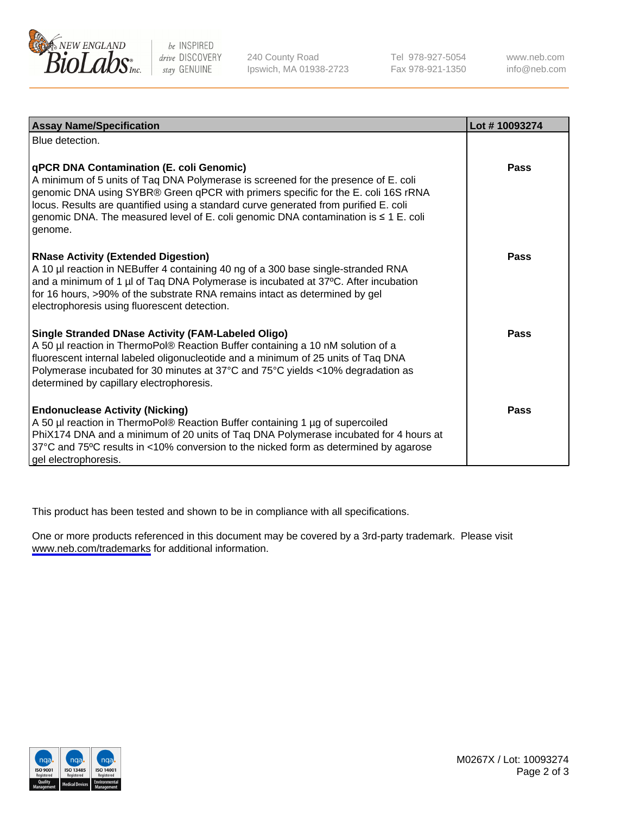

be INSPIRED drive DISCOVERY stay GENUINE

240 County Road Ipswich, MA 01938-2723 Tel 978-927-5054 Fax 978-921-1350

www.neb.com info@neb.com

| <b>Assay Name/Specification</b>                                                                                                                                                                                                                                                                                                                                                                                      | Lot #10093274 |
|----------------------------------------------------------------------------------------------------------------------------------------------------------------------------------------------------------------------------------------------------------------------------------------------------------------------------------------------------------------------------------------------------------------------|---------------|
| Blue detection.                                                                                                                                                                                                                                                                                                                                                                                                      |               |
| <b>qPCR DNA Contamination (E. coli Genomic)</b><br>A minimum of 5 units of Taq DNA Polymerase is screened for the presence of E. coli<br>genomic DNA using SYBR® Green qPCR with primers specific for the E. coli 16S rRNA<br>locus. Results are quantified using a standard curve generated from purified E. coli<br>genomic DNA. The measured level of E. coli genomic DNA contamination is ≤ 1 E. coli<br>genome. | Pass          |
| <b>RNase Activity (Extended Digestion)</b><br>A 10 µl reaction in NEBuffer 4 containing 40 ng of a 300 base single-stranded RNA<br>and a minimum of 1 µl of Taq DNA Polymerase is incubated at 37°C. After incubation<br>for 16 hours, >90% of the substrate RNA remains intact as determined by gel<br>electrophoresis using fluorescent detection.                                                                 | Pass          |
| Single Stranded DNase Activity (FAM-Labeled Oligo)<br>A 50 µl reaction in ThermoPol® Reaction Buffer containing a 10 nM solution of a<br>fluorescent internal labeled oligonucleotide and a minimum of 25 units of Taq DNA<br>Polymerase incubated for 30 minutes at 37°C and 75°C yields <10% degradation as<br>determined by capillary electrophoresis.                                                            | Pass          |
| <b>Endonuclease Activity (Nicking)</b><br>A 50 µl reaction in ThermoPol® Reaction Buffer containing 1 µg of supercoiled<br>PhiX174 DNA and a minimum of 20 units of Taq DNA Polymerase incubated for 4 hours at<br>37°C and 75°C results in <10% conversion to the nicked form as determined by agarose<br>gel electrophoresis.                                                                                      | Pass          |

This product has been tested and shown to be in compliance with all specifications.

One or more products referenced in this document may be covered by a 3rd-party trademark. Please visit <www.neb.com/trademarks>for additional information.